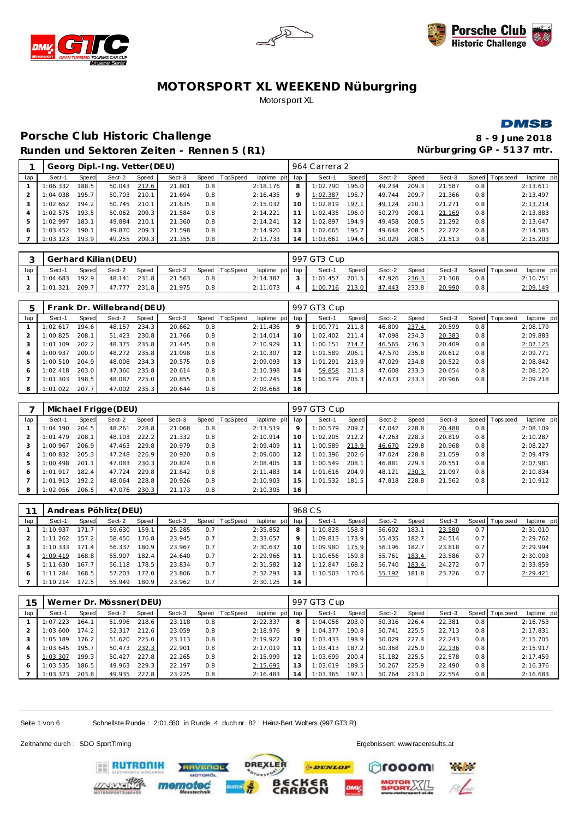





#### **DMSB**

# **Porsche C lub Historic Challenge 8 - 9 June 2018 Runden und Sektoren Zeiten - Rennen 5 (R1)**

|     |          |       | Georg Dipl.-Ing. Vetter (DEU) |       |        |     |                |                 |         | 964 Carrera 2 |       |        |       |        |     |                 |             |
|-----|----------|-------|-------------------------------|-------|--------|-----|----------------|-----------------|---------|---------------|-------|--------|-------|--------|-----|-----------------|-------------|
| lap | Sect-1   | Speed | Sect-2                        | Speed | Sect-3 |     | Speed TopSpeed | laptime pit lap |         | Sect-1        | Speed | Sect-2 | Speed | Sect-3 |     | Speed Tops peed | laptime pit |
|     | 1:06.332 | 188.5 | 50.043                        | 212.6 | 21.801 | 0.8 |                | 2:18.176        | 8       | 1:02.790      | 196.0 | 49.234 | 209.3 | 21.587 | 0.8 |                 | 2:13.611    |
|     | 1:04.038 | 195.7 | 50.703                        | 210.1 | 21.694 | 0.8 |                | 2:16.435        | $\circ$ | 1:02.387      | 195.7 | 49.744 | 209.7 | 21.366 | 0.8 |                 | 2:13.497    |
|     | 1:02.652 | 194.2 | 50.745                        | 210.1 | 21.635 | 0.8 |                | 2:15.032        | 10      | 1:02.819      | 197.1 | 49.124 | 210.1 | 21.271 | 0.8 |                 | 2:13.214    |
| 4   | 1:02.575 | 193.5 | 50.062                        | 209.3 | 21.584 | 0.8 |                | 2:14.221        |         | 1:02.435      | 196.0 | 50.279 | 208.1 | 21.169 | 0.8 |                 | 2:13.883    |
| 5   | 1:02.997 | 183.1 | 49.884                        | 210.1 | 21.360 | 0.8 |                | 2:14.241        |         | 1:02.897      | 194.9 | 49.458 | 208.5 | 21.292 | 0.8 |                 | 2:13.647    |
|     | 1:03.452 | 190.1 | 49.870                        | 209.3 | 21.598 | 0.8 |                | 2:14.920        | 13      | 1:02.665      | 195.7 | 49.648 | 208.5 | 22.272 | 0.8 |                 | 2:14.585    |
|     | 1:03.123 | 193.9 | 49.255                        | 209.3 | 21.355 | 0.8 |                | 2:13.733        | 14      | 1:03.661      | 194.6 | 50.029 | 208.5 | 21.513 | 0.8 |                 | 2:15.203    |

|     |          |       | Gerhard Kilian (DEU) |              |        |     |                |                 | 997 GT3 Cup |       |        |       |        |     |                   |             |
|-----|----------|-------|----------------------|--------------|--------|-----|----------------|-----------------|-------------|-------|--------|-------|--------|-----|-------------------|-------------|
| lap | Sect-'   | Speed | Sect-2               | <b>Speed</b> | Sect-3 |     | Speed TopSpeed | laptime pit lap | Sect-1      | Speed | Sect-2 | Speed | Sect-3 |     | Speed   Tops peed | laptime pit |
|     | 1:04.683 | 192.9 | 48.141               | 231.81       | 21.563 | 0.8 |                | 2:14.387        | 1:01.457    | 201.5 | 47.926 | 236.3 | 21.368 | 0.8 |                   | 2:10.751    |
|     | 1:01.321 | 209.7 | 47.777               | 231.8        | 21.975 | 0.8 |                | 2:11.073        | 1:00.716    | 213.0 | 47.443 | 233.8 | 20.990 | 0.8 |                   | 2:09.149    |

|     |          |       | Frank Dr. Willebrand (DEU) |       |        |       |                 |             |     | 997 GT3 Cup |       |        |       |        |     |                |             |
|-----|----------|-------|----------------------------|-------|--------|-------|-----------------|-------------|-----|-------------|-------|--------|-------|--------|-----|----------------|-------------|
| lap | Sect-1   | Speed | Sect-2                     | Speed | Sect-3 | Speed | <b>TopSpeed</b> | laptime pit | lap | Sect-1      | Speed | Sect-2 | Speed | Sect-3 |     | Speed Topspeed | laptime pit |
|     | 1:02.617 | 194.6 | 48.157                     | 234.3 | 20.662 | 0.8   |                 | 2:11.436    | 9   | 1:00.771    | 211.8 | 46.809 | 237.4 | 20.599 | 0.8 |                | 2:08.179    |
|     | 1:00.825 | 208.1 | 51.423                     | 230.8 | 21.766 | 0.8   |                 | 2:14.014    | 10  | 1:02.402    | 211.4 | 47.098 | 234.3 | 20.383 | 0.8 |                | 2:09.883    |
|     | 1:01.109 | 202.2 | 48.375                     | 235.8 | 21.445 | 0.8   |                 | 2:10.929    |     | 1:00.151    | 214.7 | 46.565 | 236.3 | 20.409 | 0.8 |                | 2:07.125    |
|     | 1:00.937 | 200.0 | 48.272                     | 235.8 | 21.098 | 0.8   |                 | 2:10.307    |     | 1:01.589    | 206.1 | 47.570 | 235.8 | 20.612 | 0.8 |                | 2:09.771    |
|     | 1:00.510 | 204.9 | 48.008                     | 234.3 | 20.575 | 0.8   |                 | 2:09.093    | 13  | 1:01.291    | 213.9 | 47.029 | 234.8 | 20.522 | 0.8 |                | 2:08.842    |
| 6   | 1:02.418 | 203.0 | 47.366                     | 235.8 | 20.614 | 0.8   |                 | 2:10.398    | 14  | 59.858      | 211.8 | 47.608 | 233.3 | 20.654 | 0.8 |                | 2:08.120    |
|     | 1:01.303 | 198.5 | 48.087                     | 225.0 | 20.855 | 0.8   |                 | 2:10.245    | 15  | 1:00.579    | 205.3 | 47.673 | 233.3 | 20.966 | 0.8 |                | 2:09.218    |
| 8   | 1:01.022 | 207.7 | 47.002                     | 235.3 | 20.644 | 0.8   |                 | 2:08.668    | 16  |             |       |        |       |        |     |                |             |

|     |          |       | Michael Frigge (DEU) |       |        |     |                |             |             | 997 GT3 Cup |       |        |       |        |       |            |             |
|-----|----------|-------|----------------------|-------|--------|-----|----------------|-------------|-------------|-------------|-------|--------|-------|--------|-------|------------|-------------|
| lap | Sect-1   | Speed | Sect-2               | Speed | Sect-3 |     | Speed TopSpeed | laptime pit | lap         | Sect-1      | Speed | Sect-2 | Speed | Sect-3 | Speed | T ops peed | laptime pit |
|     | 1:04.190 | 204.5 | 48.261               | 228.8 | 21.068 | 0.8 |                | 2:13.519    | $\mathsf Q$ | 1:00.579    | 209.7 | 47.042 | 228.8 | 20.488 | 0.8   |            | 2:08.109    |
|     | : 01.479 | 208.1 | 48.103               | 222.2 | 21.332 | 0.8 |                | 2:10.914    | 10          | 1:02.205    | 212.2 | 47.263 | 228.3 | 20.819 | 0.8   |            | 2:10.287    |
| 3   | : 00.967 | 206.9 | 47.463               | 229.8 | 20.979 | 0.8 |                | 2:09.409    |             | 1:00.589    | 213.9 | 46.670 | 229.8 | 20.968 | 0.8   |            | 2:08.227    |
|     | :00.832  | 205.3 | 47.248               | 226.9 | 20.920 | 0.8 |                | 2:09.000    | 12          | 1:01.396    | 202.6 | 47.024 | 228.8 | 21.059 | 0.8   |            | 2:09.479    |
| 5   | : 00.498 | 201.1 | 47.083               | 230.3 | 20.824 | 0.8 |                | 2:08.405    | 13          | 1:00.549    | 208.1 | 46.881 | 229.3 | 20.551 | 0.8   |            | 2:07.981    |
| 6   | : 01.917 | 182.4 | 47.724               | 229.8 | 21.842 | 0.8 |                | 2:11.483    | 14          | 1:01.616    | 204.9 | 48.121 | 230.3 | 21.097 | 0.8   |            | 2:10.834    |
|     | 1:01.913 | 192.2 | 48.064               | 228.8 | 20.926 | 0.8 |                | 2:10.903    | 15          | 1:01.532    | 181.5 | 47.818 | 228.8 | 21.562 | 0.8   |            | 2:10.912    |
| 8   | 1:02.056 | 206.5 | 47.076               | 230.3 | 21.173 | 0.8 |                | 2:10.305    | 16          |             |       |        |       |        |       |            |             |

|     |          |       | Andreas Pöhlitz (DEU) |       |        |         |                 |                 |    | 968 CS   |        |        |       |        |     |                 |             |
|-----|----------|-------|-----------------------|-------|--------|---------|-----------------|-----------------|----|----------|--------|--------|-------|--------|-----|-----------------|-------------|
| lap | Sect-1   | Speed | Sect-2                | Speed | Sect-3 | Speed 1 | <b>TopSpeed</b> | laptime pit lap |    | Sect-1   | Speed  | Sect-2 | Speed | Sect-3 |     | Speed Tops peed | laptime pit |
|     | 1:10.937 | 171.7 | 59.630                | 159.1 | 25.285 | 0.7     |                 | 2:35.852        | 8  | 1:10.828 | 158.8  | 56.602 | 183.1 | 23.580 | 0.7 |                 | 2:31.010    |
|     | 1:11.262 | 157.2 | 58.450                | 176.8 | 23.945 | 0.7     |                 | 2:33.657        | 9  | 1:09.813 | 173.9  | 55.435 | 182.7 | 24.514 | 0.7 |                 | 2:29.762    |
|     | 1:10.333 | 171.4 | 56.337                | 180.9 | 23.967 | 0.7     |                 | 2:30.637        | 10 | 1:09.980 | 175.9. | 56.196 | 182.7 | 23.818 | 0.7 |                 | 2:29.994    |
|     | 1:09.419 | 168.8 | 55.907                | 182.4 | 24.640 | 0.7     |                 | 2:29.966        |    | 1:10.656 | 159.8  | 55.761 | 183.4 | 23.586 | 0.7 |                 | 2:30.003    |
|     | 1:11.630 | 167.7 | 56.118                | 178.5 | 23.834 | 0.7     |                 | 2:31.582        |    | 1:12.847 | 168.2  | 56.740 | 183.4 | 24.272 | 0.7 |                 | 2:33.859    |
| 6   | 1:11.284 | 168.5 | 57.203                | 172.0 | 23.806 | 0.7     |                 | 2:32.293        |    | 1:10.503 | 170.6  | 55.192 | 181.8 | 23.726 | 0.7 |                 | 2:29.421    |
|     | 1:10.214 | 172.5 | 55.949                | 180.9 | 23.962 | 0.7     |                 | 2:30.125        | 14 |          |        |        |       |        |     |                 |             |

| 15  |          |       | Werner Dr. Mössner (DEU) |       |        |     |                |             |     | 997 GT3 Cup |       |        |       |        |         |            |             |
|-----|----------|-------|--------------------------|-------|--------|-----|----------------|-------------|-----|-------------|-------|--------|-------|--------|---------|------------|-------------|
| lap | Sect-1   | Speed | Sect-2                   | Speed | Sect-3 |     | Speed TopSpeed | laptime pit | lap | Sect-1      | Speed | Sect-2 | Speed | Sect-3 | Speed ' | Tops pee d | laptime pit |
|     | 1:07.223 | 164   | 51.996                   | 218.6 | 23.118 | 0.8 |                | 2:22.337    | 8   | 1:04.056    | 203.0 | 50.316 | 226.4 | 22.381 | 0.8     |            | 2:16.753    |
|     | 1:03.600 | 174.2 | 52.317                   | 212.6 | 23.059 | 0.8 |                | 2:18.976    | 9   | 1:04.377    | 190.8 | 50.741 | 225.5 | 22.713 | 0.8     |            | 2:17.831    |
|     | 1:05.189 | 176.2 | 51.620                   | 225.0 | 23.113 | 0.8 |                | 2:19.922    | 10  | 1:03.433    | 198.9 | 50.029 | 227.4 | 22.243 | 0.8     |            | 2:15.705    |
| 4   | 1:03.645 | 195.7 | 50.473                   | 232.3 | 22.901 | 0.8 |                | 2:17.019    |     | 1:03.413    | 187.2 | 50.368 | 225.0 | 22.136 | 0.8     |            | 2:15.917    |
| 5   | 1:03.307 | 199.3 | 50.427                   | 227.8 | 22.265 | 0.8 |                | 2:15.999    | 12  | 1:03.699    | 200.4 | 51.182 | 225.5 | 22.578 | 0.8     |            | 2:17.459    |
|     | 1:03.535 | 186.5 | 49.963                   | 229.3 | 22.197 | 0.8 |                | 2:15.695    | 13  | 1:03.619    | 189.5 | 50.267 | 225.9 | 22.490 | 0.8     |            | 2:16.376    |
|     | 1:03.323 | 203.8 | 49.935                   | 227.8 | 23.225 | 0.8 |                | 2:16.483    | 14  | 1:03.365    | 197.1 | 50.764 | 213.0 | 22.554 | 0.8     |            | 2:16.683    |

Seite 1 von 6 Schnellste Runde : 2:01.560 in Runde 4 duch nr. 82 : Heinz-Bert Walters (997 GT3 R)

Zeitnahme durch : SDO SportTiming Ergebnissen: [www.raceresults.a](www.raceresults.at)t

**RUTRONIK** 

men

**Pages** 

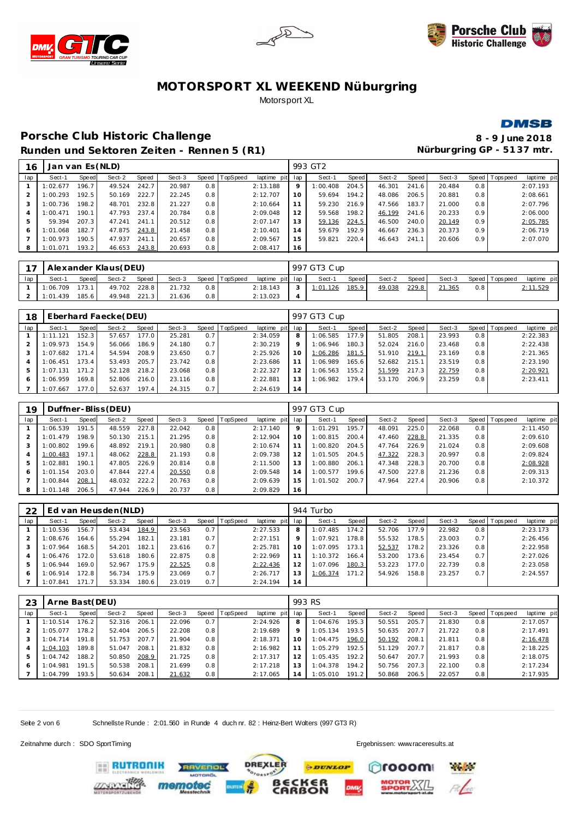





#### **DMSB**

# **Porsche C lub Historic Challenge 8 - 9 June 2018 Runden und Sektoren Zeiten - Rennen 5 (R1)**

| 16  | Jan van Es (NLD) |       |        |       |        |     |                |                 |         | 993 GT2  |       |        |       |        |                  |                |             |
|-----|------------------|-------|--------|-------|--------|-----|----------------|-----------------|---------|----------|-------|--------|-------|--------|------------------|----------------|-------------|
| lap | Sect-1           | Speed | Sect-2 | Speed | Sect-3 |     | Speed TopSpeed | laptime pit lap |         | Sect-1   | Speed | Sect-2 | Speed | Sect-3 |                  | Speed Topspeed | laptime pit |
|     | 1:02.677         | 196.7 | 49.524 | 242.7 | 20.987 | 0.8 |                | 2:13.188        | $\circ$ | 1:00.408 | 204.5 | 46.301 | 241.6 | 20.484 | 0.8              |                | 2:07.193    |
|     | 1:00.293         | 192.5 | 50.169 | 222.7 | 22.245 | 0.8 |                | 2:12.707        | 10      | 59.694   | 194.2 | 48.086 | 206.5 | 20.881 | 0.8              |                | 2:08.661    |
|     | 1:00.736         | 198.2 | 48.701 | 232.8 | 21.227 | 0.8 |                | 2:10.664        | 11      | 59.230   | 216.9 | 47.566 | 183.7 | 21.000 | 0.8              |                | 2:07.796    |
|     | 1:00.471         | 190.1 | 47.793 | 237.4 | 20.784 | 0.8 |                | 2:09.048        | 12      | 59.568   | 198.2 | 46.199 | 241.6 | 20.233 | 0.9              |                | 2:06.000    |
| b.  | 59.394           | 207.3 | 47.241 | 241.1 | 20.512 | 0.8 |                | 2:07.147        | 13      | 59.136   | 224.5 | 46.500 | 240.0 | 20.149 | 0.9 <sup>°</sup> |                | 2:05.785    |
| 6   | 1:01.068         | 182.7 | 47.875 | 243.8 | 21.458 | 0.8 |                | 2:10.401        | 14      | 59.679   | 192.9 | 46.667 | 236.3 | 20.373 | 0.9              |                | 2:06.719    |
|     | 1:00.973         | 190.5 | 47.937 | 241.1 | 20.657 | 0.8 |                | 2:09.567        | 15      | 59.821   | 220.4 | 46.643 | 241.1 | 20.606 | 0.9              |                | 2:07.070    |
| 8   | 1:01.071         | 193.2 | 46.653 | 243.8 | 20.693 | 0.8 |                | 2:08.417        | 16      |          |       |        |       |        |                  |                |             |
|     |                  |       |        |       |        |     |                |                 |         |          |       |        |       |        |                  |                |             |

|     | 17   Alexander Klaus(DEU) |              |        |              |        |     |                |                 | 997 GT3 Cup |         |        |         |        |     |                 |             |
|-----|---------------------------|--------------|--------|--------------|--------|-----|----------------|-----------------|-------------|---------|--------|---------|--------|-----|-----------------|-------------|
| lap | Sect-1                    | <b>Speed</b> | Sect-2 | <b>Speed</b> | Sect-3 |     | Speed TopSpeed | laptime pit lap | Sect-1      | Speed I | Sect-2 | Speed I | Sect-3 |     | Speed Tops peed | laptime pit |
|     | 1:06.709                  | 173.1        | 49.702 | 228.8        | 21.732 | 0.8 |                | 2:18.143        | 1:01.126    | 185.9   | 49.038 | 229.8   | 21.365 | 0.8 |                 | 2:11.529    |
|     | 1:01.439                  | 185.6        | 49.948 | 221.3        | 21.636 | 0.8 |                | 2:13.023        |             |         |        |         |        |     |                 |             |

| 18             |          |       | Eberhard Faecke (DEU) |       |        |     |                |                 |         | 997 GT3 Cup |       |        |       |        |     |                 |             |
|----------------|----------|-------|-----------------------|-------|--------|-----|----------------|-----------------|---------|-------------|-------|--------|-------|--------|-----|-----------------|-------------|
| lap            | Sect-1   | Speed | Sect-2                | Speed | Sect-3 |     | Speed TopSpeed | laptime pit lap |         | Sect-1      | Speed | Sect-2 | Speed | Sect-3 |     | Speed Tops peed | laptime pit |
|                | 1:11.121 | 152.3 | 57.657                | 177.0 | 25.281 | 0.7 |                | 2:34.059        | 8       | 1:06.585    | 177.9 | 51.805 | 208.1 | 23.993 | 0.8 |                 | 2:22.383    |
|                | 1:09.973 | 154.9 | 56.066                | 186.9 | 24.180 | 0.7 |                | 2:30.219        | $\circ$ | 1:06.946    | 180.3 | 52.024 | 216.0 | 23.468 | 0.8 |                 | 2:22.438    |
|                | 1:07.682 | 171.4 | 54.594                | 208.9 | 23.650 | 0.7 |                | 2:25.926        | 1 C     | 1:06.286    | 181.5 | 51.910 | 219.1 | 23.169 | 0.8 |                 | 2:21.365    |
| $\overline{4}$ | 1:06.451 | 173.4 | 53.493                | 205.7 | 23.742 | 0.8 |                | 2:23.686        |         | 1:06.989    | 165.6 | 52.682 | 215.1 | 23.519 | 0.8 |                 | 2:23.190    |
| 5              | 1:07.131 | 171.2 | 52.128                | 218.2 | 23.068 | 0.8 |                | 2:22.327        |         | 1:06.563    | 155.2 | 51.599 | 217.3 | 22.759 | 0.8 |                 | 2:20.921    |
| -6             | 1:06.959 | 169.8 | 52.806                | 216.0 | 23.116 | 0.8 |                | 2:22.881        |         | 1:06.982    | 179.4 | 53.170 | 206.9 | 23.259 | 0.8 |                 | 2:23.411    |
|                | 1:07.667 | 177.0 | 52.637                | 197.4 | 24.315 | 0.7 |                | 2:24.619        | 14      |             |       |        |       |        |     |                 |             |

| 19  |          |       | Duffner-Bliss (DEU) |       |        |       |          |             |         | 997 GT3 Cup |       |        |       |        |     |                |             |
|-----|----------|-------|---------------------|-------|--------|-------|----------|-------------|---------|-------------|-------|--------|-------|--------|-----|----------------|-------------|
| lap | Sect-1   | Speed | Sect-2              | Speed | Sect-3 | Speed | TopSpeed | laptime pit | lap     | Sect-1      | Speed | Sect-2 | Speed | Sect-3 |     | Speed Topspeed | laptime pit |
|     | 1:06.539 | 191.5 | 48.559              | 227.8 | 22.042 | 0.8   |          | 2:17.140    | $\circ$ | 1:01.291    | 195.7 | 48.091 | 225.0 | 22.068 | 0.8 |                | 2:11.450    |
|     | 1:01.479 | 198.9 | 50.130              | 215.1 | 21.295 | 0.8   |          | 2:12.904    | 10      | 1:00.815    | 200.4 | 47.460 | 228.8 | 21.335 | 0.8 |                | 2:09.610    |
|     | 1:00.802 | 199.6 | 48.892              | 219.1 | 20.980 | 0.8   |          | 2:10.674    |         | 1:00.820    | 204.5 | 47.764 | 226.9 | 21.024 | 0.8 |                | 2:09.608    |
| 4   | 1:00.483 | 197.1 | 48.062              | 228.8 | 21.193 | 0.8   |          | 2:09.738    |         | 1:01.505    | 204.5 | 47.322 | 228.3 | 20.997 | 0.8 |                | 2:09.824    |
| 5   | 1:02.881 | 190.1 | 47.805              | 226.9 | 20.814 | 0.8   |          | 2:11.500    |         | 1:00.880    | 206.1 | 47.348 | 228.3 | 20.700 | 0.8 |                | 2:08.928    |
| 6   | 1:01.154 | 203.0 | 47.844              | 227.4 | 20.550 | 0.8   |          | 2:09.548    | 14      | 1:00.577    | 199.6 | 47.500 | 227.8 | 21.236 | 0.8 |                | 2:09.313    |
|     | 1:00.844 | 208.1 | 48.032              | 222.2 | 20.763 | 0.8   |          | 2:09.639    | 15      | 1:01.502    | 200.7 | 47.964 | 227.4 | 20.906 | 0.8 |                | 2:10.372    |
| 8   | 1:01.148 | 206.5 | 47.944              | 226.9 | 20.737 | 0.8   |          | 2:09.829    | 16      |             |       |        |       |        |     |                |             |

| 22  |          |       | Ed van Heusden (NLD) |       |        |       |          |             |     | 944 Turbo |       |        |       |        |         |                   |             |
|-----|----------|-------|----------------------|-------|--------|-------|----------|-------------|-----|-----------|-------|--------|-------|--------|---------|-------------------|-------------|
| lap | Sect-1   | Speed | Sect-2               | Speed | Sect-3 | Speed | TopSpeed | laptime pit | lap | Sect-1    | Speed | Sect-2 | Speed | Sect-3 | Speed I | <b>T</b> ops peed | laptime pit |
|     | 1:10.536 | 156.7 | 53.434               | 184.9 | 23.563 | 0.7   |          | 2:27.533    |     | 1:07.485  | 174.2 | 52.706 | 177.9 | 22.982 | 0.8     |                   | 2:23.173    |
|     | 1:08.676 | 164.6 | 55.294               | 182.1 | 23.181 | 0.7   |          | 2:27.151    |     | 1:07.921  | 178.8 | 55.532 | 178.5 | 23.003 | 0.7     |                   | 2:26.456    |
|     | 1:07.964 | 168.5 | 54.201               | 182.1 | 23.616 | 0.7   |          | 2:25.781    | 10  | 1:07.095  | 173.1 | 52.537 | 178.2 | 23.326 | 0.8     |                   | 2:22.958    |
|     | 1:06.476 | 172.0 | 53.618               | 180.6 | 22.875 | 0.8   |          | 2:22.969    |     | 1:10.372  | 166.4 | 53.200 | 173.6 | 23.454 | 0.7     |                   | 2:27.026    |
|     | 1:06.944 | 169.0 | 52.967               | 175.9 | 22.525 | 0.8   |          | 2:22.436    |     | 1:07.096  | 180.3 | 53.223 | 177.0 | 22.739 | 0.8     |                   | 2:23.058    |
|     | 1:06.914 | 172.8 | 56.734               | 175.9 | 23.069 | 0.7   |          | 2:26.717    |     | 1:06.374  | 171.2 | 54.926 | 158.8 | 23.257 | 0.7     |                   | 2:24.557    |
|     | 1:07.841 | 171.7 | 53.334               | 180.6 | 23.019 | 0.7   |          | 2:24.194    | 14  |           |       |        |       |        |         |                   |             |

| 23  | Arne Bast (DEU) |       |        |       |        |     |                |             | 993 RS |          |       |        |       |        |       |            |             |
|-----|-----------------|-------|--------|-------|--------|-----|----------------|-------------|--------|----------|-------|--------|-------|--------|-------|------------|-------------|
| lap | Sect-1          | Speed | Sect-2 | Speed | Sect-3 |     | Speed TopSpeed | laptime pit | lap    | Sect-1   | Speed | Sect-2 | Speed | Sect-3 | Speed | Tops pee d | laptime pit |
|     | 1:10.514        | 176.2 | 52.316 | 206.1 | 22.096 | 0.7 |                | 2:24.926    | 8      | 1:04.676 | 195.3 | 50.551 | 205.7 | 21.830 | 0.8   |            | 2:17.057    |
|     | 1:05.077        | 178.2 | 52.404 | 206.5 | 22.208 | 0.8 |                | 2:19.689    | 9      | 1:05.134 | 193.5 | 50.635 | 207.7 | 21.722 | 0.8   |            | 2:17.491    |
|     | 1:04.714        | 191.8 | 51.753 | 207.7 | 21.904 | 0.8 |                | 2:18.371    | 10     | 1:04.475 | 196.0 | 50.192 | 208.1 | 21.811 | 0.8   |            | 2:16.478    |
|     | 1:04.103        | 189.8 | 51.047 | 208.1 | 21.832 | 0.8 |                | 2:16.982    | 11     | 1:05.279 | 192.5 | 51.129 | 207.7 | 21.817 | 0.8   |            | 2:18.225    |
|     | 1:04.742        | 188.2 | 50.850 | 208.9 | 21.725 | 0.8 |                | 2:17.317    | 12     | 1:05.435 | 192.2 | 50.647 | 207.7 | 21.993 | 0.8   |            | 2:18.075    |
| 6   | 1:04.981        | 191.5 | 50.538 | 208.1 | 21.699 | 0.8 |                | 2:17.218    | 13     | 1:04.378 | 194.2 | 50.756 | 207.3 | 22.100 | 0.8   |            | 2:17.234    |
|     | 1:04.799        | 193.5 | 50.634 | 208.1 | 21.632 | 0.8 |                | 2:17.065    | 14     | 1:05.010 | 191.2 | 50.868 | 206.5 | 22.057 | 0.8   |            | 2:17.935    |

Seite 2 von 6 Schnellste Runde : 2:01.560 in Runde 4 duch nr. 82 : Heinz-Bert Walters (997 GT3 R)

Zeitnahme durch : SDO SportTiming Ergebnissen: [www.raceresults.a](www.raceresults.at)t

**RUTRONIK** 

mem

rooom



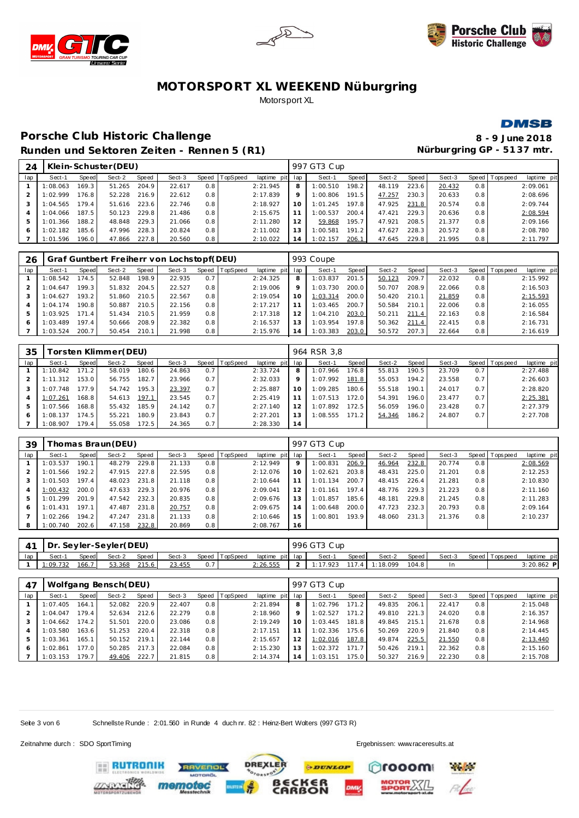





### **DMSB**

### Porsche Club Historic Challenge **8** - 9 June 2018 Runden und Sektoren Zeiten - Rennen 5 (R1) **Nürburgring GP - 5137 mtr.**

| 24  |          |       | Klein-Schuster (DEU) |       |        |       |          |                 |         | 997 GT3 Cup |       |        |       |        |                  |                 |             |
|-----|----------|-------|----------------------|-------|--------|-------|----------|-----------------|---------|-------------|-------|--------|-------|--------|------------------|-----------------|-------------|
| lap | Sect-1   | Speed | Sect-2               | Speed | Sect-3 | Speed | TopSpeed | laptime pit lap |         | Sect-1      | Speed | Sect-2 | Speed | Sect-3 |                  | Speed Tops peed | laptime pit |
|     | 1:08.063 | 169.3 | 51.265               | 204.9 | 22.617 | 0.8   |          | 2:21.945        | 8       | 1:00.510    | 198.2 | 48.119 | 223.6 | 20.432 | 0.8 <sub>1</sub> |                 | 2:09.061    |
|     | :02.999  | 76.8  | 52.228               | 216.9 | 22.612 | 0.8   |          | 2:17.839        | $\circ$ | 1:00.806    | 191.5 | 47.257 | 230.3 | 20.633 | 0.8              |                 | 2:08.696    |
|     | 1:04.565 | 179.4 | 51.616               | 223.6 | 22.746 | 0.8   |          | 2:18.927        | 10      | 1:01.245    | 197.8 | 47.925 | 231.8 | 20.574 | 0.8              |                 | 2:09.744    |
|     | 1:04.066 | 187.5 | 50.123               | 229.8 | 21.486 | 0.8   |          | 2:15.675        |         | 1:00.537    | 200.4 | 47.421 | 229.3 | 20.636 | 0.8              |                 | 2:08.594    |
| 5   | 1:01.366 | 188.2 | 48.848               | 229.3 | 21.066 | 0.8   |          | 2:11.280        | 12      | 59.868      | 195.7 | 47.921 | 208.5 | 21.377 | 0.8              |                 | 2:09.166    |
| 6   | 1:02.182 | 185.6 | 47.996               | 228.3 | 20.824 | 0.8   |          | 2:11.002        |         | 1:00.581    | 191.2 | 47.627 | 228.3 | 20.572 | 0.8              |                 | 2:08.780    |
|     | 1:01.596 | 196.0 | 47.866               | 227.8 | 20.560 | 0.8   |          | 2:10.022        | 14      | 1:02.157    | 206.1 | 47.645 | 229.8 | 21.995 | 0.8              |                 | 2:11.797    |
|     |          |       |                      |       |        |       |          |                 |         |             |       |        |       |        |                  |                 |             |

| -26 |          |                       |        |       | Graf Guntbert Freiherr von Lochstopf(DEU) |       |          |                 |         | 993 Coupe |       |        |       |        |     |                |             |
|-----|----------|-----------------------|--------|-------|-------------------------------------------|-------|----------|-----------------|---------|-----------|-------|--------|-------|--------|-----|----------------|-------------|
| lap | Sect-1   | Speed                 | Sect-2 | Speed | Sect-3                                    | Speed | TopSpeed | laptime pit lap |         | Sect-1    | Speed | Sect-2 | Speed | Sect-3 |     | Speed Topspeed | laptime pit |
|     | 1:08.542 | 174.5                 | 52.848 | 198.9 | 22.935                                    | 0.7   |          | 2:24.325        | 8       | 1:03.837  | 201.5 | 50.123 | 209.7 | 22.032 | 0.8 |                | 2:15.992    |
|     | 1:04.647 | 199.3                 | 51.832 | 204.5 | 22.527                                    | 0.8   |          | 2:19.006        | $\circ$ | 1:03.730  | 200.0 | 50.707 | 208.9 | 22.066 | 0.8 |                | 2:16.503    |
|     | 1:04.627 | 193.2                 | 51.860 | 210.5 | 22.567                                    | 0.8   |          | 2:19.054        | 10      | 1:03.314  | 200.0 | 50.420 | 210.1 | 21.859 | 0.8 |                | 2:15.593    |
|     | 1:04.174 | 190.8                 | 50.887 | 210.5 | 22.156                                    | 0.8   |          | 2:17.217        |         | 1:03.465  | 200.7 | 50.584 | 210.1 | 22.006 | 0.8 |                | 2:16.055    |
| 5   | 1:03.925 | 171<br>$\overline{A}$ | 51.434 | 210.5 | 21.959                                    | 0.8   |          | 2:17.318        |         | 1:04.210  | 203.0 | 50.211 | 211.4 | 22.163 | 0.8 |                | 2:16.584    |
|     | 1:03.489 | 197.4                 | 50.666 | 208.9 | 22.382                                    | 0.8   |          | 2:16.537        | 13      | 1:03.954  | 197.8 | 50.362 | 211.4 | 22.415 | 0.8 |                | 2:16.731    |
|     | 1:03.524 | 200.7                 | 50.454 | 210.1 | 21.998                                    | 0.8   |          | 2:15.976        |         | 1:03.383  | 203.0 | 50.572 | 207.3 | 22.664 | 0.8 |                | 2:16.619    |

| 35  |          |       | [orsten Klimmer(DEU) |       |        |     |                |             |             | 964 RSR 3.8 |       |        |       |        |     |                 |             |
|-----|----------|-------|----------------------|-------|--------|-----|----------------|-------------|-------------|-------------|-------|--------|-------|--------|-----|-----------------|-------------|
| lap | Sect-1   | Speed | Sect-2               | Speed | Sect-3 |     | Speed TopSpeed | laptime pit | lap         | Sect-1      | Speed | Sect-2 | Speed | Sect-3 |     | Speed Tops peed | laptime pit |
|     | 1:10.842 | 71    | 58.019               | 180.6 | 24.863 | 0.7 |                | 2:33.724    | 8           | 1:07.966    | 176.8 | 55.813 | 190.5 | 23.709 | 0.7 |                 | 2:27.488    |
|     | 1:11.312 | 53.0  | 56.755               | 182.7 | 23.966 | 0.7 |                | 2:32.033    | $\mathsf Q$ | 1:07.992    | 181.8 | 55.053 | 194.2 | 23.558 | 0.7 |                 | 2:26.603    |
| 3   | 1:07.748 | 77.9  | 54.742               | 195.3 | 23.397 | 0.7 |                | 2:25.887    | 10          | 1:09.285    | 180.6 | 55.518 | 190.1 | 24.017 | 0.7 |                 | 2:28.820    |
|     | 1:07.261 | 168.8 | 54.613               | 197.1 | 23.545 | 0.7 |                | 2:25.419    |             | 1:07.513    | 172.0 | 54.391 | 196.0 | 23.477 | 0.7 |                 | 2:25.381    |
| 5   | : 07.566 | 168.8 | 55.432               | 185.9 | 24.142 | 0.7 |                | 2:27.140    | 12          | 1:07.892    | 172.5 | 56.059 | 196.0 | 23.428 | 0.7 |                 | 2:27.379    |
| 6   | :08.137  | 74.5  | 55.221               | 180.9 | 23.843 | 0.7 |                | 2:27.201    | 13          | 1:08.555    | 171.2 | 54.346 | 186.2 | 24.807 | 0.7 |                 | 2:27.708    |
|     | 1:08.907 | 79.4  | 55.058               | 172.5 | 24.365 | 0.7 |                | 2:28.330    | 14          |             |       |        |       |        |     |                 |             |

| 39  |          |                    | homas Braun (DEU) |       |        |     |                |             |     | 997 GT3 Cup |       |        |       |        |     |                |             |
|-----|----------|--------------------|-------------------|-------|--------|-----|----------------|-------------|-----|-------------|-------|--------|-------|--------|-----|----------------|-------------|
| lap | Sect-1   | Speed              | Sect-2            | Speed | Sect-3 |     | Speed TopSpeed | laptime pit | lap | Sect-1      | Speed | Sect-2 | Speed | Sect-3 |     | Speed Topspeed | laptime pit |
|     | 1:03.537 | 190.1              | 48.279            | 229.8 | 21.133 | 0.8 |                | 2:12.949    | 9   | 1:00.831    | 206.9 | 46.964 | 232.8 | 20.774 | 0.8 |                | 2:08.569    |
|     | : 01.566 | 192.2              | 47.915            | 227.8 | 22.595 | 0.8 |                | 2:12.076    | 10  | 1:02.621    | 203.8 | 48.431 | 225.0 | 21.201 | 0.8 |                | 2:12.253    |
|     | : 01.503 | 197.4 <sub>1</sub> | 48.023            | 231.8 | 21.118 | 0.8 |                | 2:10.644    | 11  | 1:01.134    | 200.7 | 48.415 | 226.4 | 21.281 | 0.8 |                | 2:10.830    |
| 4   | 1:00.432 | 200.0              | 47.633            | 229.3 | 20.976 | 0.8 |                | 2:09.041    | 12  | 1:01.161    | 197.4 | 48.776 | 229.3 | 21.223 | 0.8 |                | 2:11.160    |
| 5   | 1:01.299 | 201.9              | 47.542            | 232.3 | 20.835 | 0.8 |                | 2:09.676    | 13  | 1:01.857    | 185.6 | 48.181 | 229.8 | 21.245 | 0.8 |                | 2:11.283    |
| 6   | : 01.431 | 197.1              | 47.487            | 231.8 | 20.757 | 0.8 |                | 2:09.675    | 14  | 1:00.648    | 200.0 | 47.723 | 232.3 | 20.793 | 0.8 |                | 2:09.164    |
|     | : 02.266 | 194.2              | 47.247            | 231.8 | 21.133 | 0.8 |                | 2:10.646    | 15  | 1:00.801    | 193.9 | 48.060 | 231.3 | 21.376 | 0.8 |                | 2:10.237    |
| 8   | 1:00.740 | 202.6              | 47.158            | 232.8 | 20.869 | 0.8 |                | 2:08.767    | 16  |             |       |        |       |        |     |                |             |

| $\Delta$ 1 | Dr. Seyler-Seyler(DEU) |       |        |       |        |                |                 | 996 GT3 Cup |         |                |         |        |                   |             |  |
|------------|------------------------|-------|--------|-------|--------|----------------|-----------------|-------------|---------|----------------|---------|--------|-------------------|-------------|--|
| lap        | Sect-1                 | Speed | Sect-2 | Speed | Sect-3 | Speed TopSpeed | laptime pit lap | Sect-1      | Speed I | Sect-2         | Speed I | Sect-3 | Speed   Tops peed | laptime pit |  |
|            | 1:09.732               | 166.7 | 53.368 | 215.6 | 23.455 |                | 2:26.555        | 1:17.923    |         | 117.4 1:18.099 | 104.8   | In     |                   | 3:20.862 P  |  |

| 47  |          |       | Wolfgang Bensch(DEU) |       |        |     |                |                 |    | 997 GT3 Cup |       |        |       |        |     |                |             |
|-----|----------|-------|----------------------|-------|--------|-----|----------------|-----------------|----|-------------|-------|--------|-------|--------|-----|----------------|-------------|
| lap | Sect-1   | Speed | Sect-2               | Speed | Sect-3 |     | Speed TopSpeed | laptime pit lap |    | Sect-1      | Speed | Sect-2 | Speed | Sect-3 |     | Speed Topspeed | laptime pit |
|     | 1:07.405 | 164.7 | 52.082               | 220.9 | 22.407 | 0.8 |                | 2:21.894        | 8  | 1:02.796    | 171.2 | 49.835 | 206.1 | 22.417 | 0.8 |                | 2:15.048    |
|     | :04.047  | 79.4  | 52.634               | 212.6 | 22.279 | 0.8 |                | 2:18.960        | 9  | 1:02.527    | 171.2 | 49.810 | 221.3 | 24.020 | 0.8 |                | 2:16.357    |
|     | : 04.662 | 174.2 | 51.501               | 220.0 | 23.086 | 0.8 |                | 2:19.249        | 10 | 1:03.445    | 181.8 | 49.845 | 215.1 | 21.678 | 0.8 |                | 2:14.968    |
|     | :03.580  | 163.6 | 51.253               | 220.4 | 22.318 | 0.8 |                | 2:17.151        |    | 1:02.336    | 175.6 | 50.269 | 220.9 | 21.840 | 0.8 |                | 2:14.445    |
| 5   | : 03.361 | 165.1 | 50.152               | 219.1 | 22.144 | 0.8 |                | 2:15.657        | 12 | 1:02.016    | 187.8 | 49.874 | 225.5 | 21.550 | 0.8 |                | 2:13.440    |
| 6   | :02.861  | 177.0 | 50.285               | 217.3 | 22.084 | 0.8 |                | 2:15.230        | 13 | 1:02.372    | 171.7 | 50.426 | 219.1 | 22.362 | 0.8 |                | 2:15.160    |
|     | 1:03.153 | 179.7 | 49.406               | 222.7 | 21.815 | 0.8 |                | 2:14.374        | 14 | 1:03.151    | 75.0  | 50.327 | 216.9 | 22.230 | 0.8 |                | 2:15.708    |

Seite 3 von 6 Schnellste Runde : 2:01.560 in Runde 4 duch nr. 82 : Heinz-Bert Walters (997 GT3 R)

Zeitnahme durch : SDO SportTiming Ergebnissen: [www.raceresults.a](www.raceresults.at)t

**Particular** 

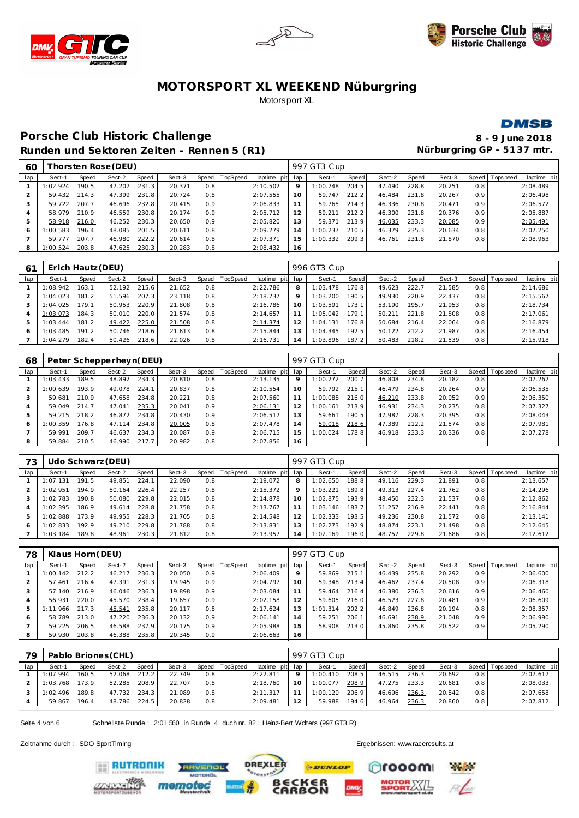





#### **DMSB**

**Porsche Club Historic Challenge Runden und Sektoren Zeiten - Rennen 5 (R1)** 

| 8 - 9 June 2018            |
|----------------------------|
| Nürburgring GP - 5137 mtr. |

| 60  |          |       | [horsten Rose(DEU) |       |        |     |                |                 |    | 997 GT3 Cup |       |        |       |        |     |                |             |
|-----|----------|-------|--------------------|-------|--------|-----|----------------|-----------------|----|-------------|-------|--------|-------|--------|-----|----------------|-------------|
| lap | Sect-1   | Speed | Sect-2             | Speed | Sect-3 |     | Speed TopSpeed | laptime pit lap |    | Sect-1      | Speed | Sect-2 | Speed | Sect-3 |     | Speed Topspeed | laptime pit |
|     | 1:02.924 | 190.5 | 47.207             | 231.3 | 20.371 | 0.8 |                | 2:10.502        | 9  | 1:00.748    | 204.5 | 47.490 | 228.8 | 20.251 | 0.8 |                | 2:08.489    |
|     | 59.432   | 214.3 | 47.399             | 231.8 | 20.724 | 0.8 |                | 2:07.555        | 10 | 59.747      | 212.2 | 46.484 | 231.8 | 20.267 | 0.9 |                | 2:06.498    |
| 3   | 59.722   | 207.7 | 46.696             | 232.8 | 20.415 | 0.9 |                | 2:06.833        | 11 | 59.765      | 214.3 | 46.336 | 230.8 | 20.471 | 0.9 |                | 2:06.572    |
| 4   | 58.979   | 210.9 | 46.559             | 230.8 | 20.174 | 0.9 |                | 2:05.712        | 12 | 59.211      | 212.2 | 46.300 | 231.8 | 20.376 | 0.9 |                | 2:05.887    |
| 5   | 58.918   | 216.0 | 46.252             | 230.3 | 20.650 | 0.9 |                | 2:05.820        | 13 | 59.371      | 213.9 | 46.035 | 233.3 | 20.085 | 0.9 |                | 2:05.491    |
| O   | 1:00.583 | 196.4 | 48.085             | 201.5 | 20.611 | 0.8 |                | 2:09.279        | 14 | 1:00.237    | 210.5 | 46.379 | 235.3 | 20.634 | 0.8 |                | 2:07.250    |
|     | 59.777   | 207.7 | 46.980             | 222.2 | 20.614 | 0.8 |                | 2:07.371        | 15 | 1:00.332    | 209.3 | 46.761 | 231.8 | 21.870 | 0.8 |                | 2:08.963    |
| 8   | 1:00.524 | 203.8 | 47.625             | 230.3 | 20.283 | 0.8 |                | 2:08.432        | 16 |             |       |        |       |        |     |                |             |
|     |          |       |                    |       |        |     |                |                 |    |             |       |        |       |        |     |                |             |

| 6 <sup>1</sup> | Erich Hautz (DEU) |                    |        |       |        |         |          |                 |         | 996 GT3 Cup |                    |        |       |        |     |                 |             |
|----------------|-------------------|--------------------|--------|-------|--------|---------|----------|-----------------|---------|-------------|--------------------|--------|-------|--------|-----|-----------------|-------------|
| lap            | Sect-1            | Speed              | Sect-2 | Speed | Sect-3 | Speed I | TopSpeed | laptime pit lap |         | Sect-1      | Speed              | Sect-2 | Speed | Sect-3 |     | Speed Tops peed | laptime pit |
|                | 1:08.942          | 163.1              | 52.192 | 215.6 | 21.652 | 0.8     |          | 2:22.786        | 8       | 1:03.478    | 176.8 <sub>1</sub> | 49.623 | 222.7 | 21.585 | 0.8 |                 | 2:14.686    |
|                | :04.023           | 181.2              | 51.596 | 207.3 | 23.118 | 0.8     |          | 2:18.737        | $\circ$ | 1:03.200    | 190.5              | 49.930 | 220.9 | 22.437 | 0.8 |                 | 2:15.567    |
|                | : 04.025          | 179.1              | 50.953 | 220.9 | 21.808 | 0.8     |          | 2:16.786        | 10      | 1:03.591    | 173.1              | 53.190 | 195.7 | 21.953 | 0.8 |                 | 2:18.734    |
|                | 1:03.073          | 184.3              | 50.010 | 220.0 | 21.574 | 0.8     |          | 2:14.657        |         | 1:05.042    | 179.1              | 50.211 | 221.8 | 21.808 | 0.8 |                 | 2:17.061    |
| 5              | : 03.444          | 181.2              | 49.422 | 225.0 | 21.508 | 0.8     |          | 2:14.374        |         | 1:04.131    | 176.8              | 50.684 | 216.4 | 22.064 | 0.8 |                 | 2:16.879    |
| 6              | : 03.485          | 191.2 <sub>1</sub> | 50.746 | 218.6 | 21.613 | 0.8     |          | 2:15.844        | 13      | 1:04.345    | 192.5 <sub>1</sub> | 50.122 | 212.2 | 21.987 | 0.8 |                 | 2:16.454    |
|                | 1:04.279          | 182.4              | 50.426 | 218.6 | 22.026 | 0.8     |          | 2:16.731        | 14      | 1:03.896    | 187.2              | 50.483 | 218.2 | 21.539 | 0.8 |                 | 2:15.918    |

| 68  |          |       | Peter Schepperheyn(DEU) |       |        |     |                |             |     | 997 GT3 Cup |       |        |       |        |                  |                   |             |
|-----|----------|-------|-------------------------|-------|--------|-----|----------------|-------------|-----|-------------|-------|--------|-------|--------|------------------|-------------------|-------------|
| lap | Sect-1   | Speed | Sect-2                  | Speed | Sect-3 |     | Speed TopSpeed | laptime pit | lap | Sect-1      | Speed | Sect-2 | Speed | Sect-3 |                  | Speed   Tops peed | laptime pit |
|     | 1:03.433 | 189.5 | 48.892                  | 234.3 | 20.810 | 0.8 |                | 2:13.135    | 9   | 1:00.272    | 200.7 | 46.808 | 234.8 | 20.182 | 0.8              |                   | 2:07.262    |
|     | 1:00.639 | 193.9 | 49.078                  | 224.1 | 20.837 | 0.8 |                | 2:10.554    | 10  | 59.792      | 215.1 | 46.479 | 234.8 | 20.264 | 0.9 <sup>°</sup> |                   | 2:06.535    |
|     | 59.681   | 210.9 | 47.658                  | 234.8 | 20.221 | 0.8 |                | 2:07.560    | 11  | 1:00.088    | 216.0 | 46.210 | 233.8 | 20.052 | 0.9 <sup>°</sup> |                   | 2:06.350    |
|     | 59.049   | 214.7 | 47.041                  | 235.3 | 20.041 | 0.9 |                | 2:06.131    | 12  | : 00.161    | 213.9 | 46.931 | 234.3 | 20.235 | 0.8              |                   | 2:07.327    |
|     | 59.215   | 218.2 | 46.872                  | 234.8 | 20.430 | 0.9 |                | 2:06.517    | 13  | 59.661      | 190.5 | 47.987 | 228.3 | 20.395 | 0.8              |                   | 2:08.043    |
| 6   | 1:00.359 | 176.8 | 47.114                  | 234.8 | 20.005 | 0.8 |                | 2:07.478    | 14  | 59.018      | 218.6 | 47.389 | 212.2 | 21.574 | 0.8              |                   | 2:07.981    |
|     | 59.991   | 209.7 | 46.637                  | 234.3 | 20.087 | 0.9 |                | 2:06.715    | 15  | 1:00.024    | 178.8 | 46.918 | 233.3 | 20.336 | 0.8              |                   | 2:07.278    |
| 8   | 59.884   | 210.5 | 46.990                  | 217.7 | 20.982 | 0.8 |                | 2:07.856    | 16  |             |       |        |       |        |                  |                   |             |

| 73  |                   |       | Udo Schwarz (DEU) |       |        |         |          |             |         | 997 GT3 Cup |       |        |       |        |     |                 |             |
|-----|-------------------|-------|-------------------|-------|--------|---------|----------|-------------|---------|-------------|-------|--------|-------|--------|-----|-----------------|-------------|
| lap | Sect-1            | Speed | Sect-2            | Speed | Sect-3 | Speed l | TopSpeed | laptime pit | lap     | Sect-1      | Speed | Sect-2 | Speed | Sect-3 |     | Speed Tops peed | laptime pit |
|     | $\pm$ 07.<br>.131 | 191.5 | 49.851            | 224.1 | 22.090 | 0.8     |          | 2:19.072    | 8       | 1:02.650    | 188.8 | 49.116 | 229.3 | 21.891 | 0.8 |                 | 2:13.657    |
|     | : 02.951          | 194.9 | 50.164            | 226.4 | 22.257 | 0.8     |          | 2:15.372    | $\circ$ | 1:03.221    | 189.8 | 49.313 | 227.4 | 21.762 | 0.8 |                 | 2:14.296    |
|     | :02.783           | 190.8 | 50.080            | 229.8 | 22.015 | 0.8     |          | 2:14.878    |         | 1:02.875    | 193.9 | 48.450 | 232.3 | 21.537 | 0.8 |                 | 2:12.862    |
|     | 1:02.395          | 186.9 | 49.614            | 228.8 | 21.758 | 0.8     |          | 2:13.767    |         | 1:03.146    | 183.7 | 51.257 | 216.9 | 22.441 | 0.8 |                 | 2:16.844    |
|     | :02.888           | 173.9 | 49.955            | 228.3 | 21.705 | 0.8     |          | 2:14.548    |         | 1:02.333    | 193.5 | 49.236 | 230.8 | 21.572 | 0.8 |                 | 2:13.141    |
| 6   | :02.833           | 192.9 | 49.210            | 229.8 | 21.788 | 0.8     |          | 2:13.831    |         | 1:02.273    | 192.9 | 48.874 | 223.1 | 21.498 | 0.8 |                 | 2:12.645    |
|     | 1:03.184          | 189.8 | 48.961            | 230.3 | 21.812 | 0.8     |          | 2:13.957    | 14      | 1:02.169    | 196.0 | 48.757 | 229.8 | 21.686 | 0.8 |                 | 2:12.612    |

| 78  | Klaus Horn (DEU) |       |        |       |        |                  |                 |                 |    | 997 GT3 Cup |       |        |       |        |                  |                 |             |
|-----|------------------|-------|--------|-------|--------|------------------|-----------------|-----------------|----|-------------|-------|--------|-------|--------|------------------|-----------------|-------------|
| lap | Sect-1           | Speed | Sect-2 | Speed | Sect-3 | Speed            | <b>TopSpeed</b> | laptime pit lap |    | Sect-1      | Speed | Sect-2 | Speed | Sect-3 |                  | Speed Tops peed | laptime pit |
|     | : 00.142         | 212.2 | 46.217 | 236.3 | 20.050 | 0.9              |                 | 2:06.409        | 9  | 59.869      | 215.1 | 46.439 | 235.8 | 20.292 | 0.9 <sup>°</sup> |                 | 2:06.600    |
|     | 57.461           | 216.4 | 47.391 | 231.3 | 19.945 | 0.9              |                 | 2:04.797        | 10 | 59.348      | 213.4 | 46.462 | 237.4 | 20.508 | 0.9 <sup>°</sup> |                 | 2:06.318    |
|     | 57.140           | 216.9 | 46.046 | 236.3 | 19.898 | 0.9 <sup>°</sup> |                 | 2:03.084        |    | 59.464      | 216.4 | 46.380 | 236.3 | 20.616 | 0.9 <sup>°</sup> |                 | 2:06.460    |
|     | 56.931           | 220.0 | 45.570 | 238.4 | 19.657 | 0.9 <sup>°</sup> |                 | 2:02.158        |    | 59.605      | 216.0 | 46.523 | 227.8 | 20.481 | 0.9 <sup>°</sup> |                 | 2:06.609    |
| 5   | 1:11.966         | 217.3 | 45.541 | 235.8 | 20.117 | 0.8              |                 | 2:17.624        |    | 1:01.314    | 202.2 | 46.849 | 236.8 | 20.194 | 0.8              |                 | 2:08.357    |
| 6   | 58.789           | 213.0 | 47.220 | 236.3 | 20.132 | 0.9              |                 | 2:06.141        | 14 | 59.251      | 206.1 | 46.691 | 238.9 | 21.048 | 0.9 <sup>°</sup> |                 | 2:06.990    |
|     | 59.225           | 206.5 | 46.588 | 237.9 | 20.175 | 0.9 <sup>°</sup> |                 | 2:05.988        | 15 | 58.908      | 213.0 | 45.860 | 235.8 | 20.522 | 0.9              |                 | 2:05.290    |
| 8   | 59.930           | 203.8 | 46.388 | 235.8 | 20.345 | 0.9 <sup>°</sup> |                 | 2:06.663        | 16 |             |       |        |       |        |                  |                 |             |

| 79  |          |       | Pablo Briones (CHL) |              |        |     |                |                 |         | 997 GT3 Cup |       |        |       |        |     |                 |             |
|-----|----------|-------|---------------------|--------------|--------|-----|----------------|-----------------|---------|-------------|-------|--------|-------|--------|-----|-----------------|-------------|
| lap | Sect-1   | Speed | Sect-2              | Speed        | Sect-3 |     | Speed TopSpeed | laptime pit lap |         | Sect-1      | Speed | Sect-2 | Speed | Sect-3 |     | Speed Tops peed | laptime pit |
|     | 1:07.994 | 160.5 | 52.068              | 212.2        | 22.749 | 0.8 |                | 2:22.811        | $\circ$ | 1:00.410    | 208.5 | 46.515 | 236.3 | 20.692 | 0.8 |                 | 2:07.617    |
|     | 1:03.768 | 173.9 | 52.285              | 208.9        | 22.707 | 0.8 |                | 2:18.760        | 10      | 1:00.077    | 208.9 | 47.275 | 233.3 | 20.681 | 0.8 |                 | 2:08.033    |
|     | 1:02.496 | 189.8 |                     | 47.732 234.3 | 21.089 | 0.8 |                | 2:11.317        |         | 1:00.120    | 206.9 | 46.696 | 236.3 | 20.842 | 0.8 |                 | 2:07.658    |
|     | 59.867   | 196.4 | 48.786              | 224.5        | 20.828 | 0.8 |                | 2:09.481        | 12      | 59.988      | 194.6 | 46.964 | 236.3 | 20.860 | 0.8 |                 | 2:07.812    |

Seite 4 von 6 Schnellste Runde : 2:01.560 in Runde 4 duch nr. 82 : Heinz-Bert Wolters (997 GT3 R)

mem

**TVENDL** 

Zeitnahme durch : SDO SportTiming Ergebnissen: [www.raceresults.a](www.raceresults.at)t

**ERUTRONIK** 



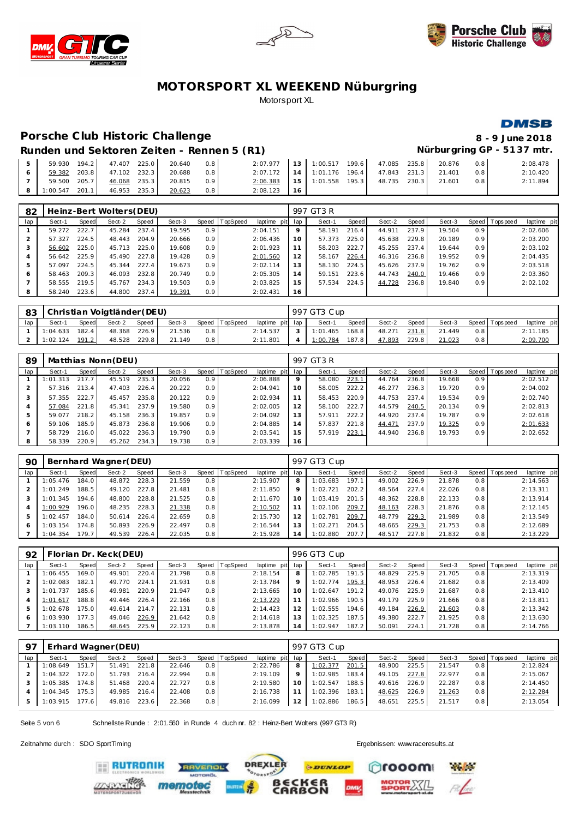





Nürburgring GP - 5137 mtr.

# MOTORSPORT XL WEEKEND Nüburgring Motorsport XL

#### Porsche Club Historic Challenge

#### **DMSB** 8 - 9 June 2018

# Runden und Sektoren Zeiten - Rennen 5 (R1)

|                  |                           | 59.930 194.2 47.407 225.0 20.640 | 0.8 | 2:07.977 13 1:00.517 199.6 47.085 235.8       |  |  | 20.876 | 0.8 | 2:08.478 |
|------------------|---------------------------|----------------------------------|-----|-----------------------------------------------|--|--|--------|-----|----------|
|                  | 59.382 203.8 47.102 232.3 | 20.688                           | 0.8 | 2:07.172   14   1:01.176 196.4   47.843 231.3 |  |  | 21.401 | 0.8 | 2:10.420 |
|                  | 59.500 205.7 46.068 235.3 | 20.815                           | 0.9 | 2:06.383 15 1:01.558 195.3 48.735 230.3       |  |  | 21.601 | 0.8 | 2:11.894 |
| $1:00.547$ 201.1 | 46.953 235.3              | 20.623                           | 0.8 | $2:08.123$ 16                                 |  |  |        |     |          |

| 82  |        |       | Heinz-Bert Wolters(DEU) |       |        |                  |                 |                 |    | 997 GT3 R |       |        |       |        |                  |                 |             |
|-----|--------|-------|-------------------------|-------|--------|------------------|-----------------|-----------------|----|-----------|-------|--------|-------|--------|------------------|-----------------|-------------|
| lap | Sect-1 | Speed | Sect-2                  | Speed | Sect-3 | Speed            | <b>TopSpeed</b> | laptime pit lap |    | Sect-1    | Speed | Sect-2 | Speed | Sect-3 |                  | Speed Tops peed | laptime pit |
|     | 59.272 | 222.7 | 45.284                  | 237.4 | 19.595 | 0.9 <sub>2</sub> |                 | 2:04.151        | 9  | 58.191    | 216.4 | 44.911 | 237.9 | 19.504 | 0.9 <sup>°</sup> |                 | 2:02.606    |
|     | 57.327 | 224.5 | 48.443                  | 204.9 | 20.666 | 0.9 <sup>°</sup> |                 | 2:06.436        | 10 | 57.373    | 225.0 | 45.638 | 229.8 | 20.189 | 0.9 <sup>°</sup> |                 | 2:03.200    |
|     | 56.602 | 225.0 | 45.713                  | 225.0 | 19.608 | 0.9 <sup>°</sup> |                 | 2:01.923        |    | 58.203    | 222.7 | 45.255 | 237.4 | 19.644 | 0.9 <sup>°</sup> |                 | 2:03.102    |
|     | 56.642 | 225.9 | 45.490                  | 227.8 | 19.428 | 0.9 <sup>°</sup> |                 | 2:01.560        | 12 | 58.167    | 226.4 | 46.316 | 236.8 | 19.952 | 0.9 <sup>°</sup> |                 | 2:04.435    |
|     | 57.097 | 224.5 | 45.344                  | 227.4 | 19.673 | 0.9 <sup>°</sup> |                 | 2:02.114        | 13 | 58.130    | 224.5 | 45.626 | 237.9 | 19.762 | 0.9 <sup>°</sup> |                 | 2:03.518    |
| 6   | 58.463 | 209.3 | 46.093                  | 232.8 | 20.749 | 0.9 <sup>°</sup> |                 | 2:05.305        | 14 | 59.151    | 223.6 | 44.743 | 240.0 | 19.466 | 0.9 <sup>°</sup> |                 | 2:03.360    |
|     | 58.555 | 219.5 | 45.767                  | 234.3 | 19.503 | 0.9 <sup>°</sup> |                 | 2:03.825        | 15 | 57.534    | 224.5 | 44.728 | 236.8 | 19.840 | 0.9 <sup>°</sup> |                 | 2:02.102    |
|     | 58.240 | 223.6 | 44.800                  | 237.4 | 19.391 | 0.9 <sub>0</sub> |                 | 2:02.431        | 16 |           |       |        |       |        |                  |                 |             |

| 83  |          |       | Christian Voigtländer (DEU) |       |        |      |                |                 | 997 GT3 Cup |       |        |       |        |     |                |             |
|-----|----------|-------|-----------------------------|-------|--------|------|----------------|-----------------|-------------|-------|--------|-------|--------|-----|----------------|-------------|
| lap | Sect-1   | Speed | Sect-2                      | Speed | Sect-3 |      | Speed TopSpeed | laptime pit lap | Sect-1      | Speed | Sect-2 | Speed | Sect-3 |     | Speed Topspeed | laptime pit |
|     | 1:04.633 | 182.4 | 48.368                      | 226.9 | 21.536 | 0.81 |                | 2:14.537        | 1:01.465    | 168.8 | 48.271 | 231.8 | 21.449 | 0.8 |                | 2:11.185    |
|     | 1:02.124 | 191.2 | 48.528                      | 229.8 | 21.149 | 0.81 |                | 2:11.801        | 1:00.784    | 187.8 | 47.893 | 229.8 | 21.023 | 0.8 |                | 2:09.700    |

| 89  |          |       | Matthias Nonn (DEU) |       |        |     |                |                 |                | 997 GT3 R |       |        |       |        |                  |                |             |
|-----|----------|-------|---------------------|-------|--------|-----|----------------|-----------------|----------------|-----------|-------|--------|-------|--------|------------------|----------------|-------------|
| lap | Sect-1   | Speed | Sect-2              | Speed | Sect-3 |     | Speed TopSpeed | laptime pit lap |                | Sect-1    | Speed | Sect-2 | Speed | Sect-3 |                  | Speed Topspeed | laptime pit |
|     | 1:01.313 | 217.7 | 45.519              | 235.3 | 20.056 | 0.9 |                | 2:06.888        | 9              | 58.080    | 223.1 | 44.764 | 236.8 | 19.668 | 0.9 <sup>°</sup> |                | 2:02.512    |
|     | 57.316   | 213.4 | 47.403              | 226.4 | 20.222 | 0.9 |                | 2:04.941        | 10             | 58.005    | 222.2 | 46.277 | 236.3 | 19.720 | 0.9 <sup>°</sup> |                | 2:04.002    |
|     | 57.355   | 222.7 | 45.457              | 235.8 | 20.122 | 0.9 |                | 2:02.934        |                | 58.453    | 220.9 | 44.753 | 237.4 | 19.534 | 0.9              |                | 2:02.740    |
| 4   | 57.084   | 221.8 | 45.341              | 237.9 | 19.580 | 0.9 |                | 2:02.005        | 12             | 58.100    | 222.7 | 44.579 | 240.5 | 20.134 | 0.9 <sup>°</sup> |                | 2:02.813    |
| 5   | 59.077   | 218.2 | 45.158              | 236.3 | 19.857 | 0.9 |                | 2:04.092        | 13             | 57.911    | 222.2 | 44.920 | 237.4 | 19.787 | 0.9 <sup>°</sup> |                | 2:02.618    |
| 6   | 59.106   | 185.9 | 45.873              | 236.8 | 19.906 | 0.9 |                | 2:04.885        | $\overline{4}$ | 57.837    | 221.8 | 44.471 | 237.9 | 19.325 | 0.9              |                | 2:01.633    |
|     | 58.729   | 216.0 | 45.022              | 236.3 | 19.790 | 0.9 |                | 2:03.541        | 15             | 57.919    | 223.1 | 44.940 | 236.8 | 19.793 | 0.9 <sup>°</sup> |                | 2:02.652    |
| 8   | 58.339   | 220.9 | 45.262              | 234.3 | 19.738 | 0.9 |                | 2:03.339        | 16             |           |       |        |       |        |                  |                |             |

| 90  |          |                    | Bernhard Wagner(DEU) |       |        |     |                |             |         | 997 GT3 Cup |       |        |       |        |                  |            |             |
|-----|----------|--------------------|----------------------|-------|--------|-----|----------------|-------------|---------|-------------|-------|--------|-------|--------|------------------|------------|-------------|
| lap | Sect-1   | Speed              | Sect-2               | Speed | Sect-3 |     | Speed TopSpeed | laptime pit | lap     | Sect-1      | Speed | Sect-2 | Speed | Sect-3 | Speed            | T ops peed | laptime pit |
|     | 1:05.476 | 184.0              | 48.872               | 228.3 | 21.559 | 0.8 |                | 2:15.907    | 8       | 1:03.683    | 197.1 | 49.002 | 226.9 | 21.878 | 0.8 <sub>1</sub> |            | 2:14.563    |
|     | 1:01.249 | 188.5              | 49.120               | 227.8 | 21.481 | 0.8 |                | 2:11.850    | $\circ$ | 1:02.721    | 202.2 | 48.564 | 227.4 | 22.026 | 0.8              |            | 2:13.311    |
|     | 1:01.345 | 194.6 <sub>1</sub> | 48.800               | 228.8 | 21.525 | 0.8 |                | 2:11.670    | 10      | 1:03.419    | 201.5 | 48.362 | 228.8 | 22.133 | 0.8              |            | 2:13.914    |
|     | 1:00.929 | 196.0              | 48.235               | 228.3 | 21.338 | 0.8 |                | 2:10.502    | 11      | 1:02.106    | 209.7 | 48.163 | 228.3 | 21.876 | 0.8              |            | 2:12.145    |
|     | 1:02.457 | 184.0              | 50.614               | 226.4 | 22.659 | 0.8 |                | 2:15.730    | 12      | 1:02.781    | 209.7 | 48.779 | 229.3 | 21.989 | 0.8              |            | 2:13.549    |
| 6   | 1:03.154 | 174.8              | 50.893               | 226.9 | 22.497 | 0.8 |                | 2:16.544    | 13      | 1:02.271    | 204.5 | 48.665 | 229.3 | 21.753 | 0.8              |            | 2:12.689    |
|     | 1:04.354 | 179.7              | 49.539               | 226.4 | 22.035 | 0.8 |                | 2:15.928    | 14      | 1:02.880    | 207.7 | 48.517 | 227.8 | 21.832 | 0.8              |            | 2:13.229    |

| 92            |               |       | Florian Dr. Keck(DEU) |       |        |     |                |                 |    | 996 GT3 Cup |         |        |       |        |     |                               |
|---------------|---------------|-------|-----------------------|-------|--------|-----|----------------|-----------------|----|-------------|---------|--------|-------|--------|-----|-------------------------------|
| lap           | Sect-1        | Speed | Sect-2                | Speed | Sect-3 |     | Speed TopSpeed | laptime pit lap |    | Sect-1      | Speed I | Sect-2 | Speed | Sect-3 |     | Speed Topspeed<br>laptime pit |
|               | 1:06.455      | 169.0 | 49.901                | 220.4 | 21.798 | 0.8 |                | 2:18.154        | 8  | 1:02.785    | 191.5   | 48.829 | 225.9 | 21.705 | 0.8 | 2:13.319                      |
| $\mathcal{P}$ | 1:02.083      | 182.1 | 49.770                | 224.1 | 21.931 | 0.8 |                | 2:13.784        | 9  | 1:02.774    | 195.3   | 48.953 | 226.4 | 21.682 | 0.8 | 2:13.409                      |
|               | .737<br>1:01. | 185.6 | 49.981                | 220.9 | 21.947 | 0.8 |                | 2:13.665        | 10 | 1:02.647    | 191.2   | 49.076 | 225.9 | 21.687 | 0.8 | 2:13.410                      |
|               | 1:01.617      | 188.8 | 49.446                | 226.4 | 22.166 | 0.8 |                | 2:13.229        |    | 1:02.966    | 190.5   | 49.179 | 225.9 | 21.666 | 0.8 | 2:13.811                      |
| 5             | 1:02.678      | 175.0 | 49.614                | 214.7 | 22.131 | 0.8 |                | 2:14.423        | 12 | 1:02.555    | 194.6   | 49.184 | 226.9 | 21.603 | 0.8 | 2:13.342                      |
| 6             | 1:03.930      | 177.3 | 49.046                | 226.9 | 21.642 | 0.8 |                | 2:14.618        |    | 1:02.325    | 187.5   | 49.380 | 222.7 | 21.925 | 0.8 | 2:13.630                      |
|               | 1:03.110      | 186.5 | 48.645                | 225.9 | 22.123 | 0.8 |                | 2:13.878        | 14 | 1:02.947    | 187.2   | 50.091 | 224.1 | 21.728 | 0.8 | 2:14.766                      |

| -97 |          |       | Erhard Wagner (DEU) |       |        |     |                |                 |         | 997 GT3 Cup |       |        |       |        |     |                |             |
|-----|----------|-------|---------------------|-------|--------|-----|----------------|-----------------|---------|-------------|-------|--------|-------|--------|-----|----------------|-------------|
| lap | Sect-1   | Speed | Sect-2              | Speed | Sect-3 |     | Speed TopSpeed | laptime pit lap |         | Sect-1      | Speed | Sect-2 | Speed | Sect-3 |     | Speed Topspeed | laptime pit |
|     | 1:08.649 | 151.7 | 51.491              | 221.8 | 22.646 | 0.8 |                | 2:22.786        | 8       | 1:02.377    | 201.5 | 48.900 | 225.5 | 21.547 | 0.8 |                | 2:12.824    |
|     | 1:04.322 | 172.0 | 51.793              | 216.4 | 22.994 | 0.8 |                | 2:19.109        | $\circ$ | 1:02.985    | 183.4 | 49.105 | 227.8 | 22.977 | 0.8 |                | 2:15.067    |
|     | 1:05.385 | 174.8 | 51.468              | 220.4 | 22.727 | 0.8 |                | 2:19.580        | 10      | 1:02.547    | 188.5 | 49.616 | 226.9 | 22.287 | 0.8 |                | 2:14.450    |
|     | 1:04.345 | 175.3 | 49.985              | 216.4 | 22.408 | 0.8 |                | 2:16.738        | 11      | 1:02.396    | 183.1 | 48.625 | 226.9 | 21.263 | 0.8 |                | 2:12.284    |
|     | 1:03.915 | 177.6 | 49.816              | 223.6 | 22.368 | 0.8 |                | 2:16.099        | 12      | 1:02.886    | 186.5 | 48.651 | 225.5 | 21.517 | 0.8 |                | 2:13.054    |

Seite 5 von 6 Schnellste Runde: 2:01.560 in Runde 4 duch nr. 82: Heinz-Bert Waters (997 GT3 R)

avenou

Zeitnahme durch : SDO SportTiming

Ergebnissen: www.raceresults.at





**RUTRONIK** 

mem